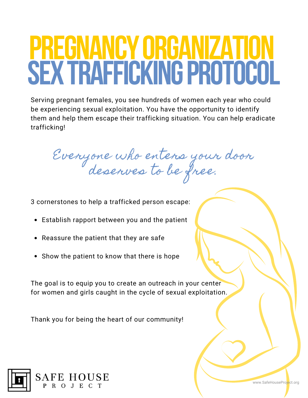### **PREGNANCYORGANIZATION SEXTRAFFICKINGPROTOCOL**

Serving pregnant females, you see hundreds of women each year who could be experiencing sexual exploitation. You have the opportunity to identify them and help them escape their trafficking situation. You can help eradicate trafficking!

Everyone who enters your door deserves to be free.

3 cornerstones to help a trafficked person escape:

- Establish rapport between you and the patient
- Reassure the patient that they are safe
- Show the patient to know that there is hope

The goal is to equip you to create an outreach in your center for women and girls caught in the cycle of sexual exploitation.

Thank you for being the heart of our community!



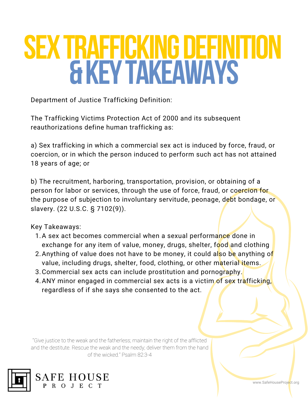## **SEXTRAFFICKINGDEFINITION &KEYTAKEAWAYS**

Department of Justice Trafficking Definition:

The Trafficking Victims Protection Act of 2000 and its subsequent reauthorizations define human trafficking as:

a) Sex trafficking in which a commercial sex act is induced by force, fraud, or coercion, or in which the person induced to perform such act has not attained 18 years of age; or

b) The recruitment, harboring, transportation, provision, or obtaining of a person for labor or services, through the use of force, fraud, or coercion for the purpose of subjection to involuntary servitude, peonage, debt bondage, or slavery. (22 U.S.C. § 7102(9)).

Key Takeaways:

- 1.A sex act becomes commercial when a sexual performa<mark>nce</mark> done in exchange for any item of value, money, drugs, shelter, food and clothing
- 2. Anything of value does not have to be money, it could a<mark>l</mark>so b<mark>e</mark> anything o<mark>f</mark> value, including drugs, shelter, food, clothing, or other material items.
- 3.Commercial sex acts can include prostitution and pornogr<mark>aphy.</mark>
- 4. ANY minor engaged in commercial sex acts is a victim of sex tr<mark>a</mark>fficki<mark>ng,</mark> regardless of if she says she consented to the act.

"Give justice to the weak and the fatherless; maintain the right of the afflicted and the destitute. Rescue the weak and the needy; deliver them from the hand of the wicked." Psalm 82:3-4



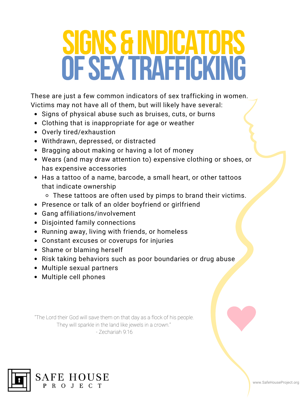## **SIGNS & INDICATORS OFSEXTRAFFICKING**

These are just a few common indicators of sex trafficking in women. Victims may not have all of them, but will likely have several:

- Signs of physical abuse such as bruises, cuts, or burns
- Clothing that is inappropriate for age or weather
- Overly tired/exhaustion
- Withdrawn, depressed, or distracted
- Bragging about making or having a lot of money
- Wears (and may draw attention to) expensive clothing or shoes, or has expensive accessories
- Has a tattoo of a name, barcode, a small heart, or other tattoos that indicate ownership
	- These tattoos are often used by pimps to brand their victims.
- Presence or talk of an older boyfriend or girlfriend
- Gang affiliations/involvement
- Disjointed family connections
- Running away, living with friends, or homeless
- Constant excuses or coverups for injuries
- Shame or blaming herself
- Risk taking behaviors such as poor boundaries or drug abuse
- Multiple sexual partners
- Multiple cell phones

"The Lord their God will save them on that day as a flock of his people. They will sparkle in the land like jewels in a crown." - Zechariah 9:16



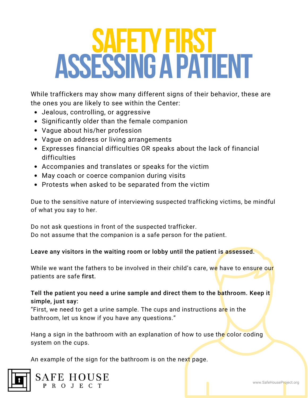## **SAFETYFIRST ASSESSINGAPATIENT**

While traffickers may show many different signs of their behavior, these are the ones you are likely to see within the Center:

- Jealous, controlling, or aggressive
- Significantly older than the female companion
- Vague about his/her profession
- Vague on address or living arrangements
- Expresses financial difficulties OR speaks about the lack of financial difficulties
- Accompanies and translates or speaks for the victim
- May coach or coerce companion during visits
- Protests when asked to be separated from the victim

Due to the sensitive nature of interviewing suspected trafficking victims, be mindful of what you say to her.

Do not ask questions in front of the suspected trafficker. Do not assume that the companion is a safe person for the patient.

Leave any visitors in the waiting room or lobby until the patient is assessed.

While we want the fathers to be involved in their child's care, we have to ensure our patients are safe first.

Tell the patient you need a urine sample and direct them to the bathroom. Keep it simple, just say:

"First, we need to get a urine sample. The cups and instructions are in the bathroom, let us know if you have any questions."

Hang a sign in the bathroom with an explanation of how to use the color coding system on the cups.

An example of the sign for the bathroom is on the next page.



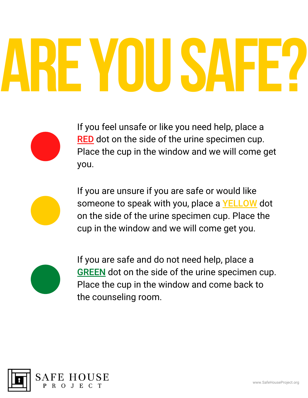# **AREYOUSAFE?**

If you feel unsafe or like you need help, place a RED dot on the side of the urine specimen cup. Place the cup in the window and we will come get you.

If you are unsure if you are safe or would like someone to speak with you, place a YELLOW dot on the side of the urine specimen cup. Place the cup in the window and we will come get you.



If you are safe and do not need help, place a **GREEN** dot on the side of the urine specimen cup. Place the cup in the window and come back to the counseling room.

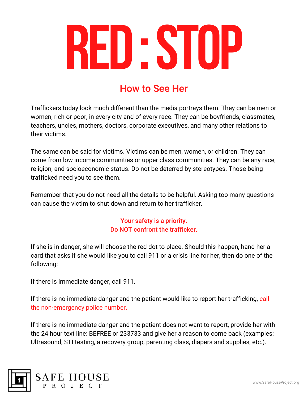

#### How to See Her

Traffickers today look much different than the media portrays them. They can be men or women, rich or poor, in every city and of every race. They can be boyfriends, classmates, teachers, uncles, mothers, doctors, corporate executives, and many other relations to their victims.

The same can be said for victims. Victims can be men, women, or children. They can come from low income communities or upper class communities. They can be any race, religion, and socioeconomic status. Do not be deterred by stereotypes. Those being trafficked need you to see them.

Remember that you do not need all the details to be helpful. Asking too many questions can cause the victim to shut down and return to her trafficker.

> Your safety is a priority. Do NOT confront the trafficker.

If she is in danger, she will choose the red dot to place. Should this happen, hand her a card that asks if she would like you to call 911 or a crisis line for her, then do one of the following:

If there is immediate danger, call 911.

If there is no immediate danger and the patient would like to report her trafficking, call the non-emergency police number.

If there is no immediate danger and the patient does not want to report, provide her with the 24 hour text line: BEFREE or 233733 and give her a reason to come back (examples: Ultrasound, STI testing, a recovery group, parenting class, diapers and supplies, etc.).



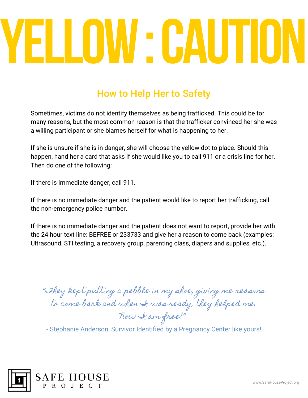## **YELLOW:CAUTION**

#### How to Help Her to Safety

Sometimes, victims do not identify themselves as being trafficked. This could be for many reasons, but the most common reason is that the trafficker convinced her she was a willing participant or she blames herself for what is happening to her.

If she is unsure if she is in danger, she will choose the yellow dot to place. Should this happen, hand her a card that asks if she would like you to call 911 or a crisis line for her. Then do one of the following:

If there is immediate danger, call 911.

If there is no immediate danger and the patient would like to report her trafficking, call the non-emergency police number.

If there is no immediate danger and the patient does not want to report, provide her with the 24 hour text line: BEFREE or 233733 and give her a reason to come back (examples: Ultrasound, STI testing, a recovery group, parenting class, diapers and supplies, etc.).

"They kept putting a pebble in my shoe, giving me reasons to come back and when I was ready, they helped me. Now I am free!"

- Stephanie Anderson, Survivor Identified by a Pregnancy Center like yours!

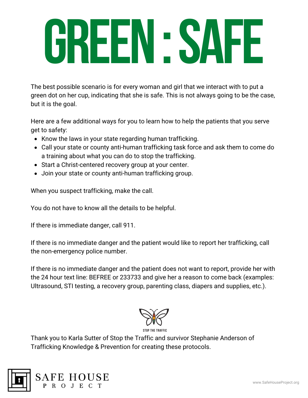## **GREEN:SAFE**

The best possible scenario is for every woman and girl that we interact with to put a green dot on her cup, indicating that she is safe. This is not always going to be the case, but it is the goal.

Here are a few additional ways for you to learn how to help the patients that you serve get to safety:

- Know the laws in your state regarding human trafficking.
- Call your state or county anti-human trafficking task force and ask them to come do a training about what you can do to stop the trafficking.
- Start a Christ-centered recovery group at your center.
- Join your state or county anti-human trafficking group.

When you suspect trafficking, make the call.

You do not have to know all the details to be helpful.

If there is immediate danger, call 911.

If there is no immediate danger and the patient would like to report her trafficking, call the non-emergency police number.

If there is no immediate danger and the patient does not want to report, provide her with the 24 hour text line: BEFREE or 233733 and give her a reason to come back (examples: Ultrasound, STI testing, a recovery group, parenting class, diapers and supplies, etc.).



Thank you to Karla Sutter of Stop the Traffic and survivor Stephanie Anderson of Trafficking Knowledge & Prevention for creating these protocols.



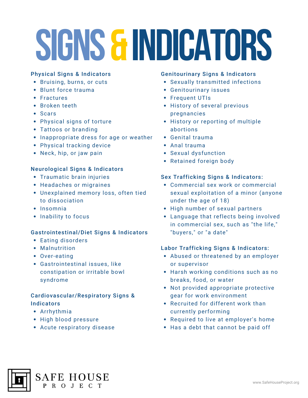## **SIGNS&INDICATORS**

#### Physical Signs & Indicators

- Bruising, burns, or cuts
- Blunt force trauma
- Fractures
- Broken teeth
- Scars
- Physical signs of torture
- Tattoos or branding
- Inappropriate dress for age or weather
- Physical tracking device
- Neck, hip, or jaw pain

#### Neurological Signs & Indicators

- Traumatic brain injuries
- Headaches or migraines
- Unexplained memory loss, often tied to dissociation
- $\cdot$  Insomnia
- Inability to focus

#### Gastrointestinal/Diet Signs & Indicators

- Eating disorders
- Malnutrition
- Over-eating
- Gastrointestinal issues, like constipation or irritable bowl syndrome

#### Cardiovascular/Respiratory Signs & **Indicators**

- Arrhythmia
- High blood pressure
- Acute respiratory disease

#### Genitourinary Signs & Indicators

- Sexually transmitted infections
- Genitourinary issues
- Frequent UTIs
- History of several previous pregnancies
- History or reporting of multiple abortions
- Genital trauma
- Anal trauma
- Sexual dysfunction
- Retained foreign body

#### Sex Trafficking Signs & Indicators:

- Commercial sex work or commercial sexual exploitation of a minor (anyone under the age of 18)
- High number of sexual partners
- Language that reflects being involved in commercial sex, such as "the life," "buyers," or "a date"

#### Labor Trafficking Signs & Indicators:

- Abused or threatened by an employer or supervisor
- Harsh working conditions such as no breaks, food, or water
- Not provided appropriate protective gear for work environment
- Recruited for different work than currently performing
- Required to live at employer's home
- Has a debt that cannot be paid off